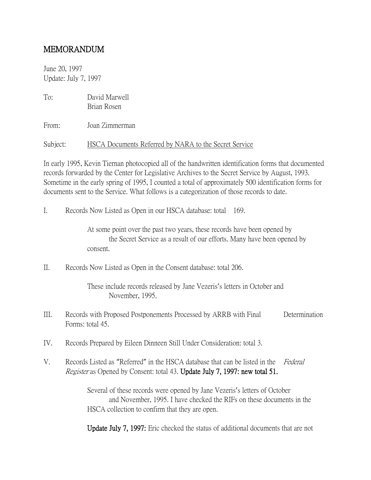## MEMORANDUM

June 20, 1997 Update: July 7, 1997

To: David Marwell Brian Rosen

From: Joan Zimmerman

Subject: HSCA Documents Referred by NARA to the Secret Service

In early 1995, Kevin Tiernan photocopied all of the handwritten identification forms that documented records forwarded by the Center for Legislative Archives to the Secret Service by August, 1993. Sometime in the early spring of 1995, I counted a total of approximately 500 identification forms for documents sent to the Service. What follows is a categorization of those records to date.

I. Records Now Listed as Open in our HSCA database: total 169.

At some point over the past two years, these records have been opened by the Secret Service as a result of our efforts. Many have been opened by consent.

II. Records Now Listed as Open in the Consent database: total 206.

These include records released by Jane Vezeris's letters in October and November, 1995.

- III. Records with Proposed Postponements Processed by ARRB with Final Determination Forms: total 45.
- IV. Records Prepared by Eileen Dinneen Still Under Consideration: total 3.
- V. Records Listed as "Referred" in the HSCA database that can be listed in the Federal Register as Opened by Consent: total 43. Update July 7, 1997: new total 51.

Several of these records were opened by Jane Vezeris's letters of October and November, 1995. I have checked the RIFs on these documents in the HSCA collection to confirm that they are open.

Update July 7, 1997: Eric checked the status of additional documents that are not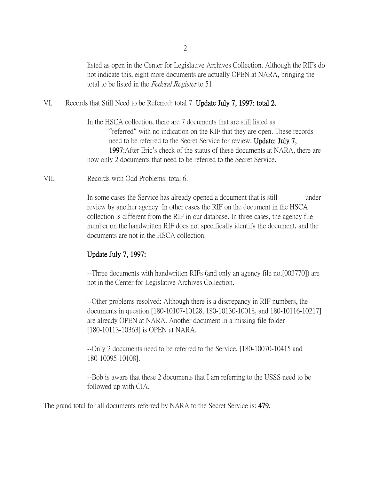2

listed as open in the Center for Legislative Archives Collection. Although the RIFs do not indicate this, eight more documents are actually OPEN at NARA, bringing the total to be listed in the Federal Register to 51.

VI. Records that Still Need to be Referred: total 7. Update July 7, 1997: total 2.

In the HSCA collection, there are 7 documents that are still listed as "referred" with no indication on the RIF that they are open. These records need to be referred to the Secret Service for review. Update: July 7, 1997:After Eric's check of the status of these documents at NARA, there are now only 2 documents that need to be referred to the Secret Service.

VII. Records with Odd Problems: total 6.

In some cases the Service has already opened a document that is still under review by another agency. In other cases the RIF on the document in the HSCA collection is different from the RIF in our database. In three cases, the agency file number on the handwritten RIF does not specifically identify the document, and the documents are not in the HSCA collection.

## Update July 7, 1997:

--Three documents with handwritten RIFs (and only an agency file no.[003770]) are not in the Center for Legislative Archives Collection.

--Other problems resolved: Although there is a discrepancy in RIF numbers, the documents in question [180-10107-10128, 180-10130-10018, and 180-10116-10217] are already OPEN at NARA. Another document in a missing file folder [180-10113-10363] is OPEN at NARA.

--Only 2 documents need to be referred to the Service. [180-10070-10415 and 180-10095-10108].

--Bob is aware that these 2 documents that I am referring to the USSS need to be followed up with CIA.

The grand total for all documents referred by NARA to the Secret Service is: 479.